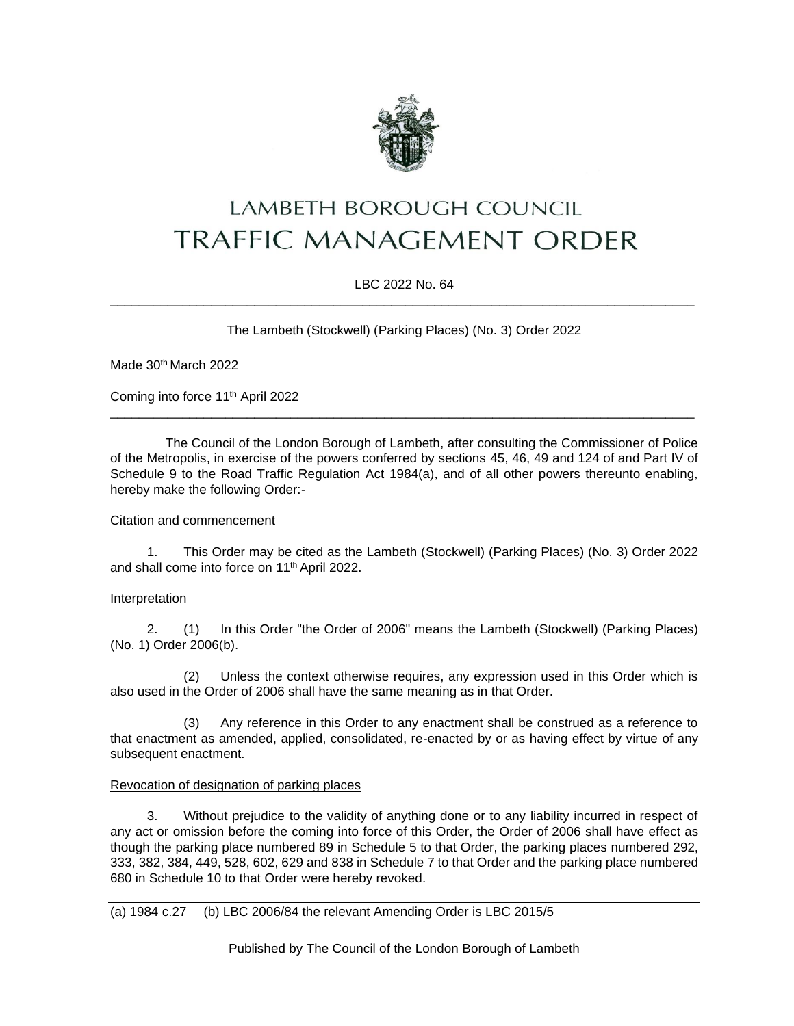

# LAMBETH BOROUGH COUNCIL **TRAFFIC MANAGEMENT ORDER**

# LBC 2022 No. 64 \_\_\_\_\_\_\_\_\_\_\_\_\_\_\_\_\_\_\_\_\_\_\_\_\_\_\_\_\_\_\_\_\_\_\_\_\_\_\_\_\_\_\_\_\_\_\_\_\_\_\_\_\_\_\_\_\_\_\_\_\_\_\_\_\_\_\_\_\_\_\_\_\_\_\_\_\_\_\_\_\_

The Lambeth (Stockwell) (Parking Places) (No. 3) Order 2022

Made 30th March 2022

Coming into force 11th April 2022

The Council of the London Borough of Lambeth, after consulting the Commissioner of Police of the Metropolis, in exercise of the powers conferred by sections 45, 46, 49 and 124 of and Part IV of Schedule 9 to the Road Traffic Regulation Act 1984(a), and of all other powers thereunto enabling, hereby make the following Order:-

\_\_\_\_\_\_\_\_\_\_\_\_\_\_\_\_\_\_\_\_\_\_\_\_\_\_\_\_\_\_\_\_\_\_\_\_\_\_\_\_\_\_\_\_\_\_\_\_\_\_\_\_\_\_\_\_\_\_\_\_\_\_\_\_\_\_\_\_\_\_\_\_\_\_\_\_\_\_\_\_\_

### Citation and commencement

1. This Order may be cited as the Lambeth (Stockwell) (Parking Places) (No. 3) Order 2022 and shall come into force on 11th April 2022.

#### Interpretation

2. (1) In this Order "the Order of 2006" means the Lambeth (Stockwell) (Parking Places) (No. 1) Order 2006(b).

(2) Unless the context otherwise requires, any expression used in this Order which is also used in the Order of 2006 shall have the same meaning as in that Order.

(3) Any reference in this Order to any enactment shall be construed as a reference to that enactment as amended, applied, consolidated, re-enacted by or as having effect by virtue of any subsequent enactment.

#### Revocation of designation of parking places

Without prejudice to the validity of anything done or to any liability incurred in respect of any act or omission before the coming into force of this Order, the Order of 2006 shall have effect as though the parking place numbered 89 in Schedule 5 to that Order, the parking places numbered 292, 333, 382, 384, 449, 528, 602, 629 and 838 in Schedule 7 to that Order and the parking place numbered 680 in Schedule 10 to that Order were hereby revoked.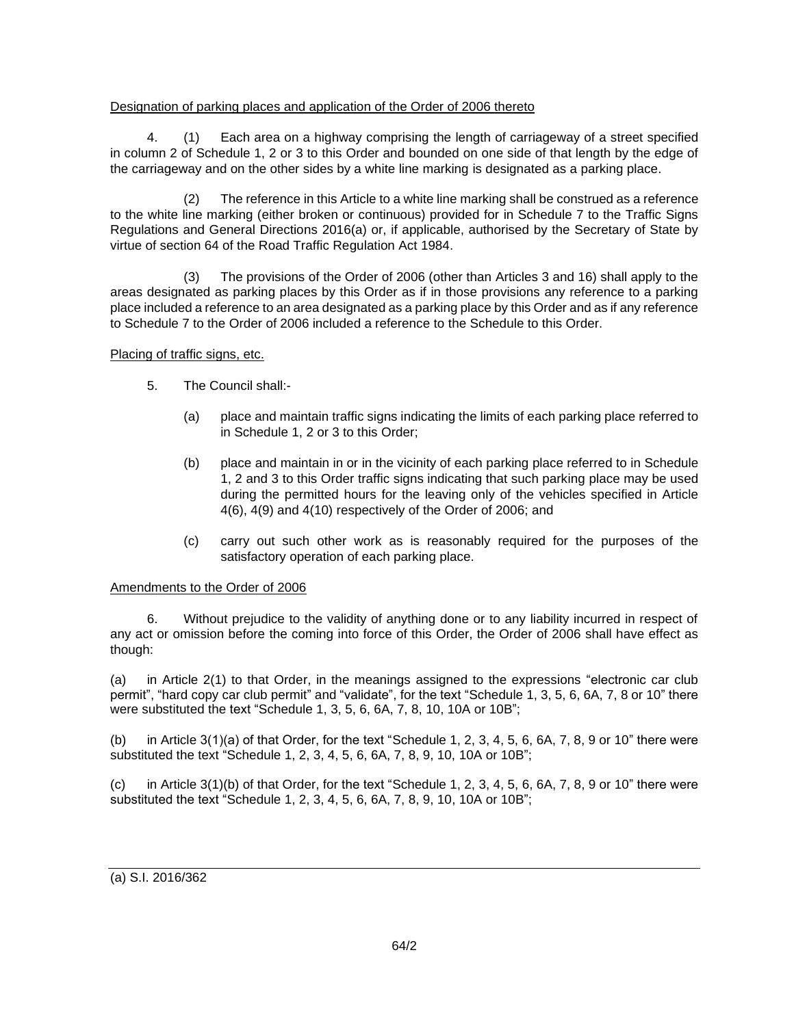# Designation of parking places and application of the Order of 2006 thereto

4. (1) Each area on a highway comprising the length of carriageway of a street specified in column 2 of Schedule 1, 2 or 3 to this Order and bounded on one side of that length by the edge of the carriageway and on the other sides by a white line marking is designated as a parking place.

(2) The reference in this Article to a white line marking shall be construed as a reference to the white line marking (either broken or continuous) provided for in Schedule 7 to the Traffic Signs Regulations and General Directions 2016(a) or, if applicable, authorised by the Secretary of State by virtue of section 64 of the Road Traffic Regulation Act 1984.

(3) The provisions of the Order of 2006 (other than Articles 3 and 16) shall apply to the areas designated as parking places by this Order as if in those provisions any reference to a parking place included a reference to an area designated as a parking place by this Order and as if any reference to Schedule 7 to the Order of 2006 included a reference to the Schedule to this Order.

#### Placing of traffic signs, etc.

- 5. The Council shall:-
	- (a) place and maintain traffic signs indicating the limits of each parking place referred to in Schedule 1, 2 or 3 to this Order;
	- (b) place and maintain in or in the vicinity of each parking place referred to in Schedule 1, 2 and 3 to this Order traffic signs indicating that such parking place may be used during the permitted hours for the leaving only of the vehicles specified in Article 4(6), 4(9) and 4(10) respectively of the Order of 2006; and
	- (c) carry out such other work as is reasonably required for the purposes of the satisfactory operation of each parking place.

# Amendments to the Order of 2006

6. Without prejudice to the validity of anything done or to any liability incurred in respect of any act or omission before the coming into force of this Order, the Order of 2006 shall have effect as though:

(a) in Article 2(1) to that Order, in the meanings assigned to the expressions "electronic car club permit", "hard copy car club permit" and "validate", for the text "Schedule 1, 3, 5, 6, 6A, 7, 8 or 10" there were substituted the text "Schedule 1, 3, 5, 6, 6A, 7, 8, 10, 10A or 10B";

(b) in Article 3(1)(a) of that Order, for the text "Schedule 1, 2, 3, 4, 5, 6, 6A, 7, 8, 9 or 10" there were substituted the text "Schedule 1, 2, 3, 4, 5, 6, 6A, 7, 8, 9, 10, 10A or 10B";

(c) in Article 3(1)(b) of that Order, for the text "Schedule 1, 2, 3, 4, 5, 6, 6A, 7, 8, 9 or 10" there were substituted the text "Schedule 1, 2, 3, 4, 5, 6, 6A, 7, 8, 9, 10, 10A or 10B";

(a) S.I. 2016/362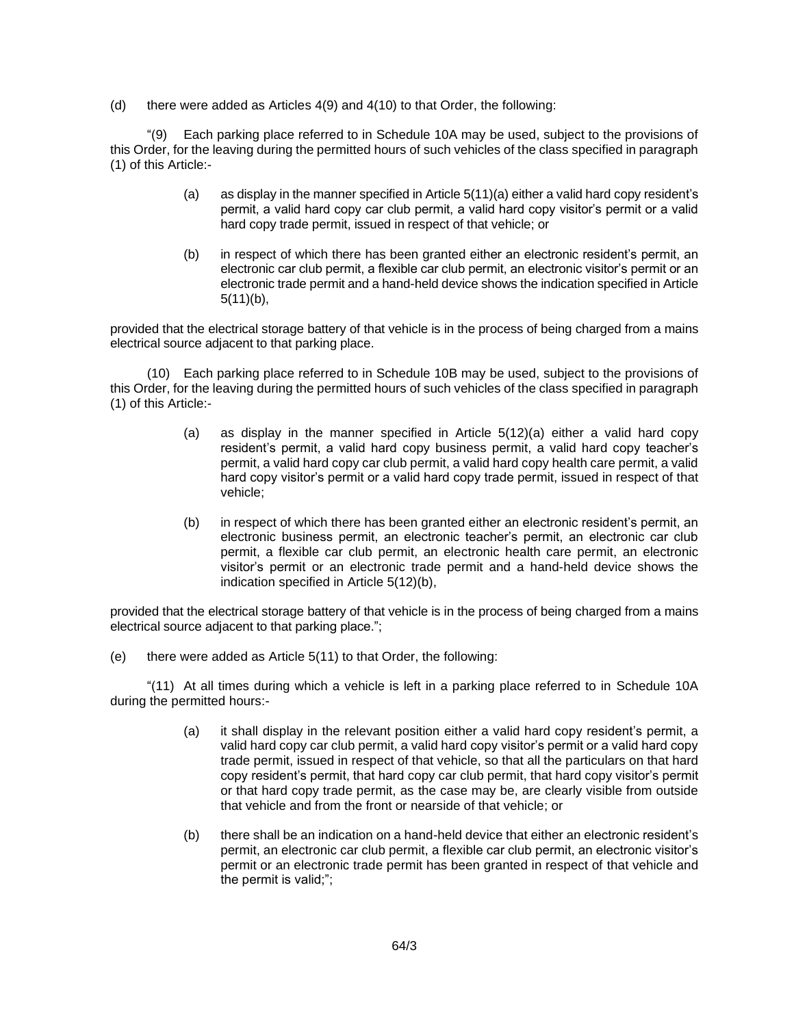(d) there were added as Articles 4(9) and 4(10) to that Order, the following:

"(9) Each parking place referred to in Schedule 10A may be used, subject to the provisions of this Order, for the leaving during the permitted hours of such vehicles of the class specified in paragraph (1) of this Article:-

- (a) as display in the manner specified in Article 5(11)(a) either a valid hard copy resident's permit, a valid hard copy car club permit, a valid hard copy visitor's permit or a valid hard copy trade permit, issued in respect of that vehicle; or
- (b) in respect of which there has been granted either an electronic resident's permit, an electronic car club permit, a flexible car club permit, an electronic visitor's permit or an electronic trade permit and a hand-held device shows the indication specified in Article 5(11)(b),

provided that the electrical storage battery of that vehicle is in the process of being charged from a mains electrical source adjacent to that parking place.

(10) Each parking place referred to in Schedule 10B may be used, subject to the provisions of this Order, for the leaving during the permitted hours of such vehicles of the class specified in paragraph (1) of this Article:-

- (a) as display in the manner specified in Article 5(12)(a) either a valid hard copy resident's permit, a valid hard copy business permit, a valid hard copy teacher's permit, a valid hard copy car club permit, a valid hard copy health care permit, a valid hard copy visitor's permit or a valid hard copy trade permit, issued in respect of that vehicle;
- (b) in respect of which there has been granted either an electronic resident's permit, an electronic business permit, an electronic teacher's permit, an electronic car club permit, a flexible car club permit, an electronic health care permit, an electronic visitor's permit or an electronic trade permit and a hand-held device shows the indication specified in Article 5(12)(b),

provided that the electrical storage battery of that vehicle is in the process of being charged from a mains electrical source adjacent to that parking place.";

(e) there were added as Article 5(11) to that Order, the following:

"(11) At all times during which a vehicle is left in a parking place referred to in Schedule 10A during the permitted hours:-

- (a) it shall display in the relevant position either a valid hard copy resident's permit, a valid hard copy car club permit, a valid hard copy visitor's permit or a valid hard copy trade permit, issued in respect of that vehicle, so that all the particulars on that hard copy resident's permit, that hard copy car club permit, that hard copy visitor's permit or that hard copy trade permit, as the case may be, are clearly visible from outside that vehicle and from the front or nearside of that vehicle; or
- (b) there shall be an indication on a hand-held device that either an electronic resident's permit, an electronic car club permit, a flexible car club permit, an electronic visitor's permit or an electronic trade permit has been granted in respect of that vehicle and the permit is valid;";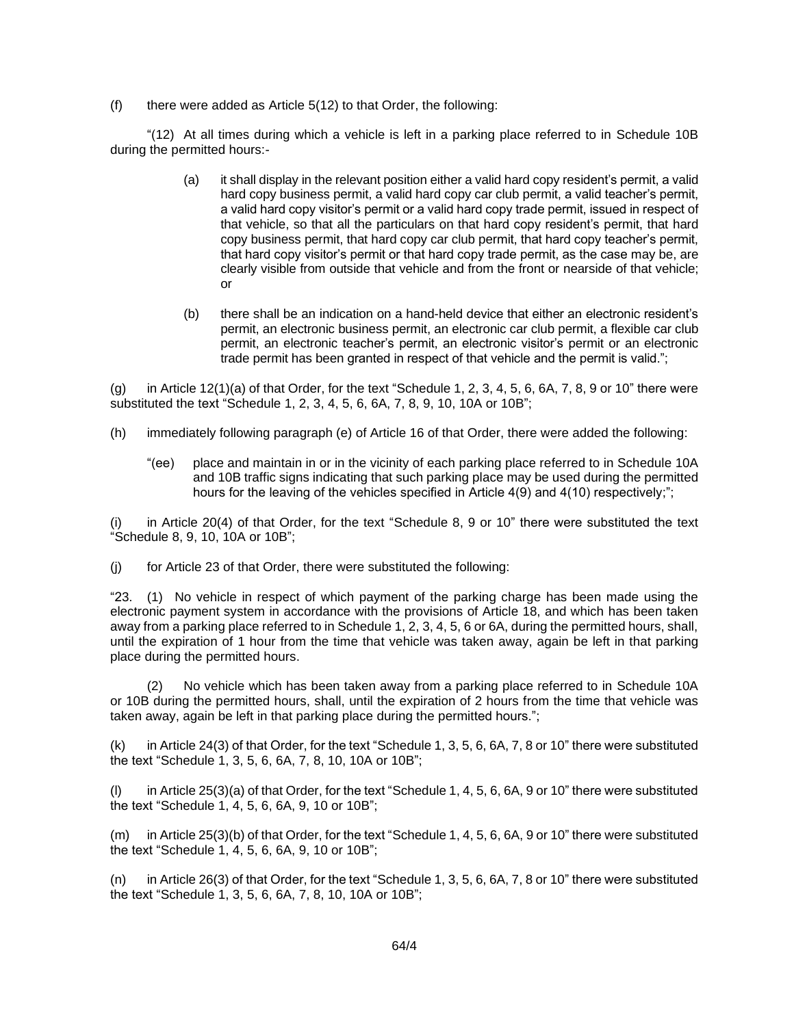$(f)$  there were added as Article 5(12) to that Order, the following:

"(12) At all times during which a vehicle is left in a parking place referred to in Schedule 10B during the permitted hours:-

- (a) it shall display in the relevant position either a valid hard copy resident's permit, a valid hard copy business permit, a valid hard copy car club permit, a valid teacher's permit, a valid hard copy visitor's permit or a valid hard copy trade permit, issued in respect of that vehicle, so that all the particulars on that hard copy resident's permit, that hard copy business permit, that hard copy car club permit, that hard copy teacher's permit, that hard copy visitor's permit or that hard copy trade permit, as the case may be, are clearly visible from outside that vehicle and from the front or nearside of that vehicle; or
- (b) there shall be an indication on a hand-held device that either an electronic resident's permit, an electronic business permit, an electronic car club permit, a flexible car club permit, an electronic teacher's permit, an electronic visitor's permit or an electronic trade permit has been granted in respect of that vehicle and the permit is valid.";

(g) in Article 12(1)(a) of that Order, for the text "Schedule 1, 2, 3, 4, 5, 6, 6A, 7, 8, 9 or 10" there were substituted the text "Schedule 1, 2, 3, 4, 5, 6, 6A, 7, 8, 9, 10, 10A or 10B";

- (h) immediately following paragraph (e) of Article 16 of that Order, there were added the following:
	- "(ee) place and maintain in or in the vicinity of each parking place referred to in Schedule 10A and 10B traffic signs indicating that such parking place may be used during the permitted hours for the leaving of the vehicles specified in Article 4(9) and 4(10) respectively;";

(i) in Article 20(4) of that Order, for the text "Schedule 8, 9 or 10" there were substituted the text "Schedule 8, 9, 10, 10A or 10B";

(j) for Article 23 of that Order, there were substituted the following:

"23. (1) No vehicle in respect of which payment of the parking charge has been made using the electronic payment system in accordance with the provisions of Article 18, and which has been taken away from a parking place referred to in Schedule 1, 2, 3, 4, 5, 6 or 6A, during the permitted hours, shall, until the expiration of 1 hour from the time that vehicle was taken away, again be left in that parking place during the permitted hours.

(2) No vehicle which has been taken away from a parking place referred to in Schedule 10A or 10B during the permitted hours, shall, until the expiration of 2 hours from the time that vehicle was taken away, again be left in that parking place during the permitted hours.";

(k) in Article 24(3) of that Order, for the text "Schedule 1, 3, 5, 6, 6A, 7, 8 or 10" there were substituted the text "Schedule 1, 3, 5, 6, 6A, 7, 8, 10, 10A or 10B";

(l) in Article 25(3)(a) of that Order, for the text "Schedule 1, 4, 5, 6, 6A, 9 or 10" there were substituted the text "Schedule 1, 4, 5, 6, 6A, 9, 10 or 10B";

(m) in Article 25(3)(b) of that Order, for the text "Schedule 1, 4, 5, 6, 6A, 9 or 10" there were substituted the text "Schedule 1, 4, 5, 6, 6A, 9, 10 or 10B";

(n) in Article 26(3) of that Order, for the text "Schedule 1, 3, 5, 6, 6A, 7, 8 or 10" there were substituted the text "Schedule 1, 3, 5, 6, 6A, 7, 8, 10, 10A or 10B";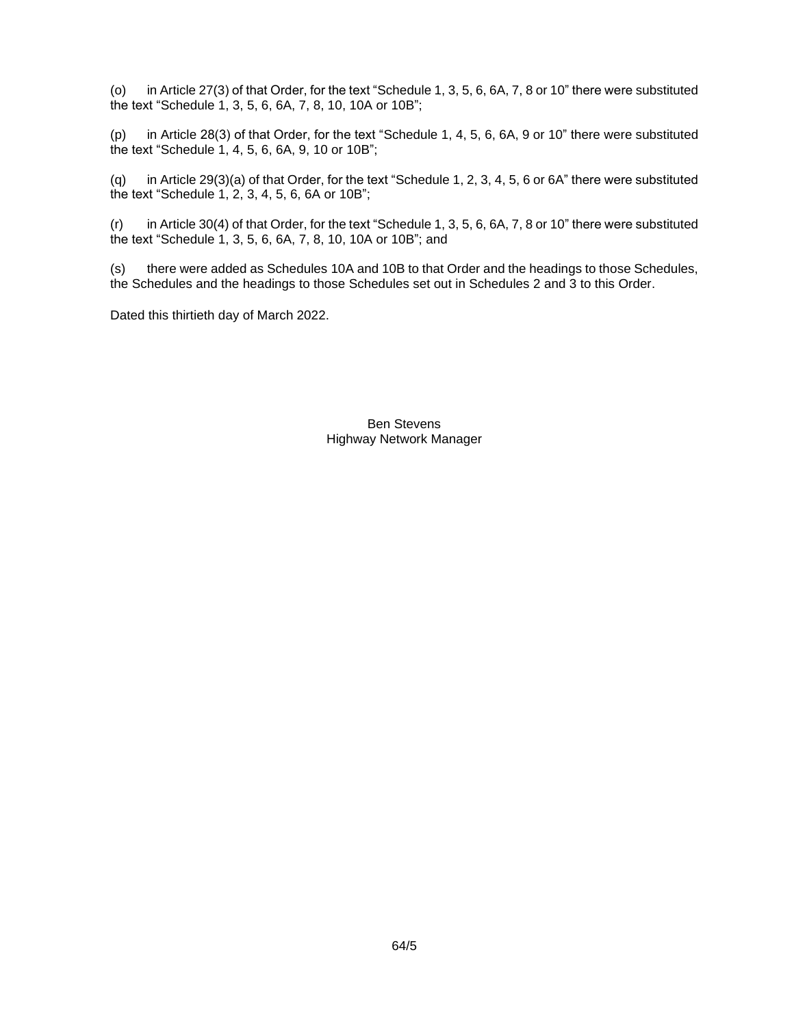(o) in Article 27(3) of that Order, for the text "Schedule 1, 3, 5, 6, 6A, 7, 8 or 10" there were substituted the text "Schedule 1, 3, 5, 6, 6A, 7, 8, 10, 10A or 10B";

(p) in Article 28(3) of that Order, for the text "Schedule 1, 4, 5, 6, 6A, 9 or 10" there were substituted the text "Schedule 1, 4, 5, 6, 6A, 9, 10 or 10B";

(q) in Article 29(3)(a) of that Order, for the text "Schedule 1, 2, 3, 4, 5, 6 or 6A" there were substituted the text "Schedule 1, 2, 3, 4, 5, 6, 6A or 10B";

(r) in Article 30(4) of that Order, for the text "Schedule 1, 3, 5, 6, 6A, 7, 8 or 10" there were substituted the text "Schedule 1, 3, 5, 6, 6A, 7, 8, 10, 10A or 10B"; and

(s) there were added as Schedules 10A and 10B to that Order and the headings to those Schedules, the Schedules and the headings to those Schedules set out in Schedules 2 and 3 to this Order.

Dated this thirtieth day of March 2022.

Ben Stevens Highway Network Manager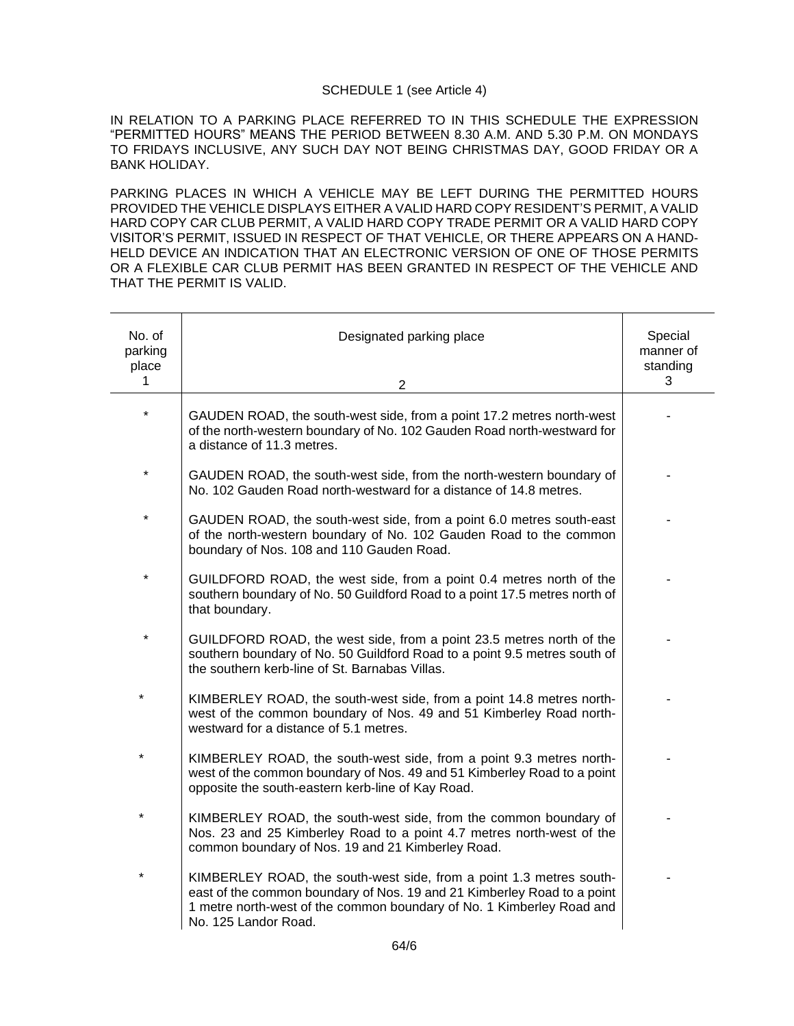## SCHEDULE 1 (see Article 4)

IN RELATION TO A PARKING PLACE REFERRED TO IN THIS SCHEDULE THE EXPRESSION "PERMITTED HOURS" MEANS THE PERIOD BETWEEN 8.30 A.M. AND 5.30 P.M. ON MONDAYS TO FRIDAYS INCLUSIVE, ANY SUCH DAY NOT BEING CHRISTMAS DAY, GOOD FRIDAY OR A BANK HOLIDAY.

PARKING PLACES IN WHICH A VEHICLE MAY BE LEFT DURING THE PERMITTED HOURS PROVIDED THE VEHICLE DISPLAYS EITHER A VALID HARD COPY RESIDENT'S PERMIT, A VALID HARD COPY CAR CLUB PERMIT, A VALID HARD COPY TRADE PERMIT OR A VALID HARD COPY VISITOR'S PERMIT, ISSUED IN RESPECT OF THAT VEHICLE, OR THERE APPEARS ON A HAND-HELD DEVICE AN INDICATION THAT AN ELECTRONIC VERSION OF ONE OF THOSE PERMITS OR A FLEXIBLE CAR CLUB PERMIT HAS BEEN GRANTED IN RESPECT OF THE VEHICLE AND THAT THE PERMIT IS VALID.

| No. of<br>parking<br>place<br>$\mathbf{1}$ | Designated parking place<br>$\overline{2}$                                                                                                                                                                                                      | Special<br>manner of<br>standing<br>3 |
|--------------------------------------------|-------------------------------------------------------------------------------------------------------------------------------------------------------------------------------------------------------------------------------------------------|---------------------------------------|
| *                                          | GAUDEN ROAD, the south-west side, from a point 17.2 metres north-west<br>of the north-western boundary of No. 102 Gauden Road north-westward for<br>a distance of 11.3 metres.                                                                  |                                       |
| *                                          | GAUDEN ROAD, the south-west side, from the north-western boundary of<br>No. 102 Gauden Road north-westward for a distance of 14.8 metres.                                                                                                       |                                       |
|                                            | GAUDEN ROAD, the south-west side, from a point 6.0 metres south-east<br>of the north-western boundary of No. 102 Gauden Road to the common<br>boundary of Nos. 108 and 110 Gauden Road.                                                         |                                       |
| $\star$                                    | GUILDFORD ROAD, the west side, from a point 0.4 metres north of the<br>southern boundary of No. 50 Guildford Road to a point 17.5 metres north of<br>that boundary.                                                                             |                                       |
| *                                          | GUILDFORD ROAD, the west side, from a point 23.5 metres north of the<br>southern boundary of No. 50 Guildford Road to a point 9.5 metres south of<br>the southern kerb-line of St. Barnabas Villas.                                             |                                       |
| $\star$                                    | KIMBERLEY ROAD, the south-west side, from a point 14.8 metres north-<br>west of the common boundary of Nos. 49 and 51 Kimberley Road north-<br>westward for a distance of 5.1 metres.                                                           |                                       |
| *                                          | KIMBERLEY ROAD, the south-west side, from a point 9.3 metres north-<br>west of the common boundary of Nos. 49 and 51 Kimberley Road to a point<br>opposite the south-eastern kerb-line of Kay Road.                                             |                                       |
| $\star$                                    | KIMBERLEY ROAD, the south-west side, from the common boundary of<br>Nos. 23 and 25 Kimberley Road to a point 4.7 metres north-west of the<br>common boundary of Nos. 19 and 21 Kimberley Road.                                                  |                                       |
|                                            | KIMBERLEY ROAD, the south-west side, from a point 1.3 metres south-<br>east of the common boundary of Nos. 19 and 21 Kimberley Road to a point<br>1 metre north-west of the common boundary of No. 1 Kimberley Road and<br>No. 125 Landor Road. |                                       |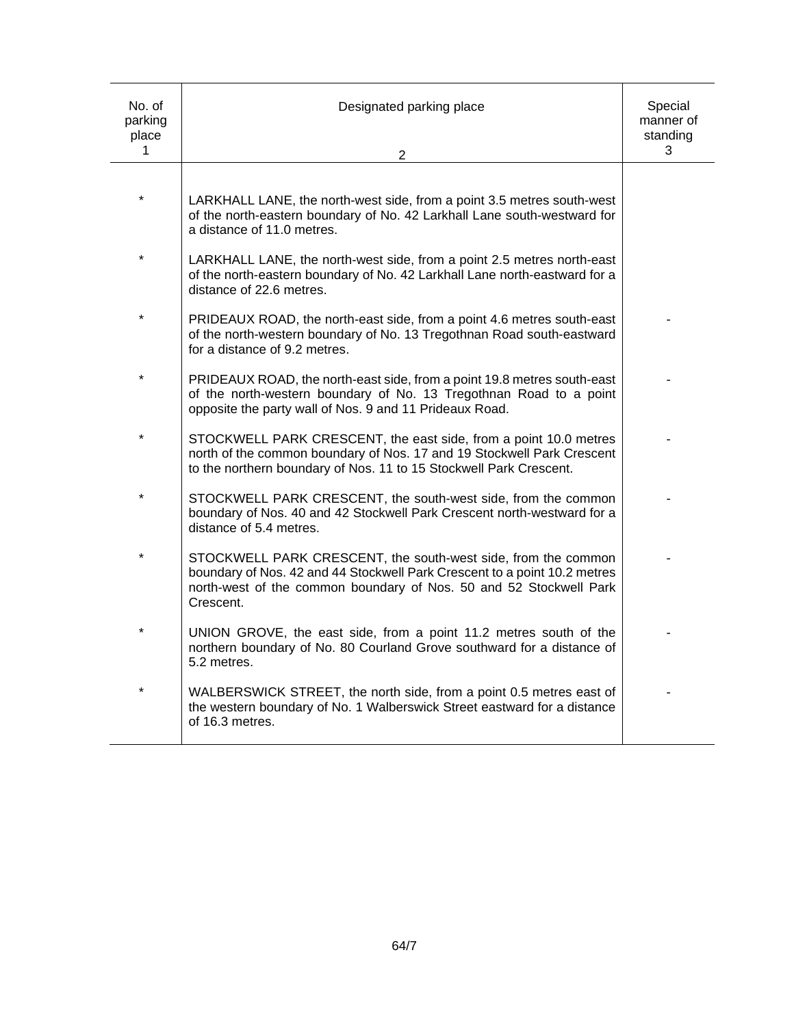| No. of<br>parking<br>place<br>1 | Designated parking place<br>2                                                                                                                                                                                                 | Special<br>manner of<br>standing<br>3 |
|---------------------------------|-------------------------------------------------------------------------------------------------------------------------------------------------------------------------------------------------------------------------------|---------------------------------------|
|                                 |                                                                                                                                                                                                                               |                                       |
|                                 | LARKHALL LANE, the north-west side, from a point 3.5 metres south-west<br>of the north-eastern boundary of No. 42 Larkhall Lane south-westward for<br>a distance of 11.0 metres.                                              |                                       |
| $\star$                         | LARKHALL LANE, the north-west side, from a point 2.5 metres north-east<br>of the north-eastern boundary of No. 42 Larkhall Lane north-eastward for a<br>distance of 22.6 metres.                                              |                                       |
| $\star$                         | PRIDEAUX ROAD, the north-east side, from a point 4.6 metres south-east<br>of the north-western boundary of No. 13 Tregothnan Road south-eastward<br>for a distance of 9.2 metres.                                             |                                       |
| $\star$                         | PRIDEAUX ROAD, the north-east side, from a point 19.8 metres south-east<br>of the north-western boundary of No. 13 Tregothnan Road to a point<br>opposite the party wall of Nos. 9 and 11 Prideaux Road.                      |                                       |
| $\star$                         | STOCKWELL PARK CRESCENT, the east side, from a point 10.0 metres<br>north of the common boundary of Nos. 17 and 19 Stockwell Park Crescent<br>to the northern boundary of Nos. 11 to 15 Stockwell Park Crescent.              |                                       |
| $\star$                         | STOCKWELL PARK CRESCENT, the south-west side, from the common<br>boundary of Nos. 40 and 42 Stockwell Park Crescent north-westward for a<br>distance of 5.4 metres.                                                           |                                       |
| $\star$                         | STOCKWELL PARK CRESCENT, the south-west side, from the common<br>boundary of Nos. 42 and 44 Stockwell Park Crescent to a point 10.2 metres<br>north-west of the common boundary of Nos. 50 and 52 Stockwell Park<br>Crescent. |                                       |
|                                 | UNION GROVE, the east side, from a point 11.2 metres south of the<br>northern boundary of No. 80 Courland Grove southward for a distance of<br>5.2 metres.                                                                    |                                       |
| $\star$                         | WALBERSWICK STREET, the north side, from a point 0.5 metres east of<br>the western boundary of No. 1 Walberswick Street eastward for a distance<br>of 16.3 metres.                                                            |                                       |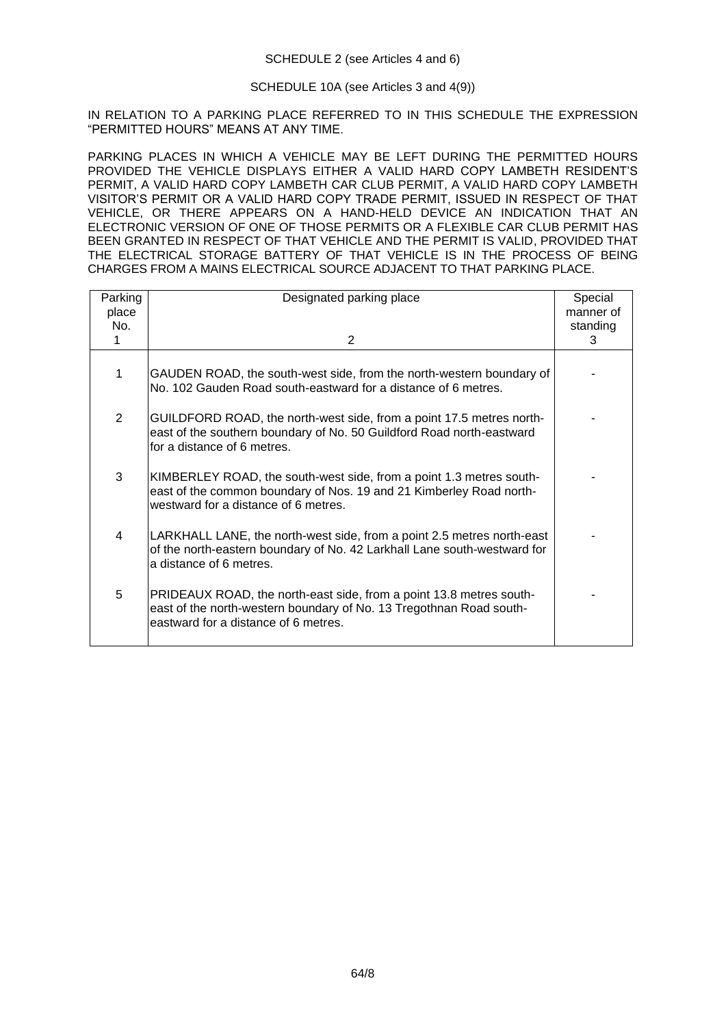# SCHEDULE 10A (see Articles 3 and 4(9))

IN RELATION TO A PARKING PLACE REFERRED TO IN THIS SCHEDULE THE EXPRESSION "PERMITTED HOURS" MEANS AT ANY TIME.

PARKING PLACES IN WHICH A VEHICLE MAY BE LEFT DURING THE PERMITTED HOURS PROVIDED THE VEHICLE DISPLAYS EITHER A VALID HARD COPY LAMBETH RESIDENT'S PERMIT, A VALID HARD COPY LAMBETH CAR CLUB PERMIT, A VALID HARD COPY LAMBETH VISITOR'S PERMIT OR A VALID HARD COPY TRADE PERMIT, ISSUED IN RESPECT OF THAT VEHICLE, OR THERE APPEARS ON A HAND-HELD DEVICE AN INDICATION THAT AN ELECTRONIC VERSION OF ONE OF THOSE PERMITS OR A FLEXIBLE CAR CLUB PERMIT HAS BEEN GRANTED IN RESPECT OF THAT VEHICLE AND THE PERMIT IS VALID, PROVIDED THAT THE ELECTRICAL STORAGE BATTERY OF THAT VEHICLE IS IN THE PROCESS OF BEING CHARGES FROM A MAINS ELECTRICAL SOURCE ADJACENT TO THAT PARKING PLACE.

| Parking<br>place<br>No. | Designated parking place                                                                                                                                                           | Special<br>manner of<br>standing |
|-------------------------|------------------------------------------------------------------------------------------------------------------------------------------------------------------------------------|----------------------------------|
| 1                       | 2                                                                                                                                                                                  | 3                                |
| 1                       | GAUDEN ROAD, the south-west side, from the north-western boundary of<br>No. 102 Gauden Road south-eastward for a distance of 6 metres.                                             |                                  |
| $\overline{2}$          | GUILDFORD ROAD, the north-west side, from a point 17.5 metres north-<br>east of the southern boundary of No. 50 Guildford Road north-eastward<br>for a distance of 6 metres.       |                                  |
| 3                       | KIMBERLEY ROAD, the south-west side, from a point 1.3 metres south-<br>east of the common boundary of Nos. 19 and 21 Kimberley Road north-<br>westward for a distance of 6 metres. |                                  |
| 4                       | LARKHALL LANE, the north-west side, from a point 2.5 metres north-east<br>of the north-eastern boundary of No. 42 Larkhall Lane south-westward for<br>a distance of 6 metres.      |                                  |
| 5                       | PRIDEAUX ROAD, the north-east side, from a point 13.8 metres south-<br>east of the north-western boundary of No. 13 Tregothnan Road south-<br>eastward for a distance of 6 metres. |                                  |